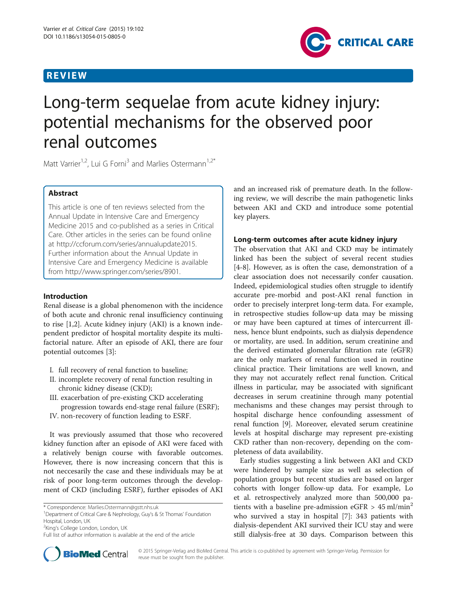# REVIEW



# Long-term sequelae from acute kidney injury: potential mechanisms for the observed poor renal outcomes

Matt Varrier<sup>1,2</sup>, Lui G Forni<sup>3</sup> and Marlies Ostermann<sup>1,2\*</sup>

# Abstract

This article is one of ten reviews selected from the Annual Update in Intensive Care and Emergency Medicine 2015 and co-published as a series in Critical Care. Other articles in the series can be found online at [http://ccforum.com/series/annualupdate2015.](http://ccforum.com/series/annualupdate2015) Further information about the Annual Update in Intensive Care and Emergency Medicine is available from [http://www.springer.com/series/8901.](http://www.springer.com/series/8901)

# Introduction

Renal disease is a global phenomenon with the incidence of both acute and chronic renal insufficiency continuing to rise [\[1,2](#page-5-0)]. Acute kidney injury (AKI) is a known independent predictor of hospital mortality despite its multifactorial nature. After an episode of AKI, there are four potential outcomes [\[3](#page-5-0)]:

- I. full recovery of renal function to baseline;
- II. incomplete recovery of renal function resulting in chronic kidney disease (CKD);
- III. exacerbation of pre-existing CKD accelerating progression towards end-stage renal failure (ESRF); IV. non-recovery of function leading to ESRF.

It was previously assumed that those who recovered kidney function after an episode of AKI were faced with a relatively benign course with favorable outcomes. However, there is now increasing concern that this is not neccesarily the case and these individuals may be at risk of poor long-term outcomes through the development of CKD (including ESRF), further episodes of AKI

\* Correspondence: [Marlies.Ostermann@gstt.nhs.uk](mailto:Marlies.Ostermann@gstt.nhs.uk) <sup>1</sup>

<sup>2</sup>King's College London, London, UK



### Long-term outcomes after acute kidney injury

The observation that AKI and CKD may be intimately linked has been the subject of several recent studies [[4-8](#page-5-0)]. However, as is often the case, demonstration of a clear association does not necessarily confer causation. Indeed, epidemiological studies often struggle to identify accurate pre-morbid and post-AKI renal function in order to precisely interpret long-term data. For example, in retrospective studies follow‐up data may be missing or may have been captured at times of intercurrent illness, hence blunt endpoints, such as dialysis dependence or mortality, are used. In addition, serum creatinine and the derived estimated glomerular filtration rate (eGFR) are the only markers of renal function used in routine clinical practice. Their limitations are well known, and they may not accurately reflect renal function. Critical illness in particular, may be associated with significant decreases in serum creatinine through many potential mechanisms and these changes may persist through to hospital discharge hence confounding assessment of renal function [\[9\]](#page-5-0). Moreover, elevated serum creatinine levels at hospital discharge may represent pre-existing CKD rather than non-recovery, depending on the completeness of data availability.

Early studies suggesting a link between AKI and CKD were hindered by sample size as well as selection of population groups but recent studies are based on larger cohorts with longer follow-up data. For example, Lo et al. retrospectively analyzed more than 500,000 patients with a baseline pre-admission eGFR  $> 45$  ml/min<sup>2</sup> who survived a stay in hospital [[7\]](#page-5-0): 343 patients with dialysis-dependent AKI survived their ICU stay and were still dialysis-free at 30 days. Comparison between this



© 2015 Springer-Verlag and BioMed Central. This article is co-published by agreement with Springer-Verlag. Permission for reuse must be sought from the publisher.

Department of Critical Care & Nephrology, Guy's & St Thomas' Foundation Hospital, London, UK

Full list of author information is available at the end of the article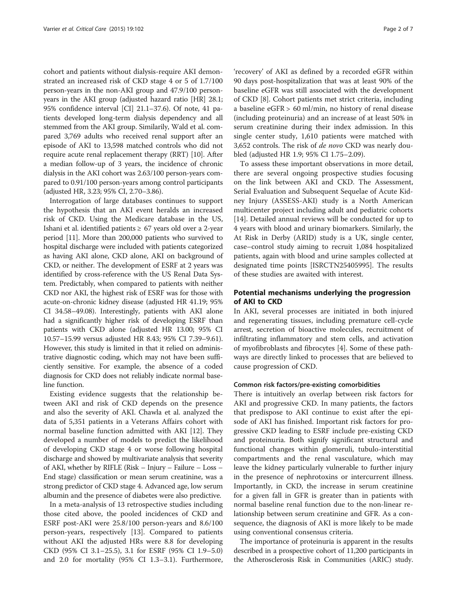cohort and patients without dialysis-require AKI demonstrated an increased risk of CKD stage 4 or 5 of 1.7/100 person-years in the non-AKI group and 47.9/100 personyears in the AKI group (adjusted hazard ratio [HR] 28.1; 95% confidence interval [CI] 21.1–37.6). Of note, 41 patients developed long-term dialysis dependency and all stemmed from the AKI group. Similarily, Wald et al. compared 3,769 adults who received renal support after an episode of AKI to 13,598 matched controls who did not require acute renal replacement therapy (RRT) [\[10\]](#page-5-0). After a median follow-up of 3 years, the incidence of chronic dialysis in the AKI cohort was 2.63/100 person-years compared to 0.91/100 person-years among control participants (adjusted HR, 3.23; 95% CI, 2.70–3.86).

Interrogation of large databases continues to support the hypothesis that an AKI event heralds an increased risk of CKD. Using the Medicare database in the US, Ishani et al. identified patients ≥ 67 years old over a 2-year period [\[11\]](#page-5-0). More than 200,000 patients who survived to hospital discharge were included with patients categorized as having AKI alone, CKD alone, AKI on background of CKD, or neither. The development of ESRF at 2 years was identified by cross-reference with the US Renal Data System. Predictably, when compared to patients with neither CKD nor AKI, the highest risk of ESRF was for those with acute-on-chronic kidney disease (adjusted HR 41.19; 95% CI 34.58–49.08). Interestingly, patients with AKI alone had a significantly higher risk of developing ESRF than patients with CKD alone (adjusted HR 13.00; 95% CI 10.57–15.99 versus adjusted HR 8.43; 95% CI 7.39–9.61). However, this study is limited in that it relied on administrative diagnostic coding, which may not have been sufficiently sensitive. For example, the absence of a coded diagnosis for CKD does not reliably indicate normal baseline function.

Existing evidence suggests that the relationship between AKI and risk of CKD depends on the presence and also the severity of AKI. Chawla et al. analyzed the data of 5,351 patients in a Veterans Affairs cohort with normal baseline function admitted with AKI [[12\]](#page-5-0). They developed a number of models to predict the likelihood of developing CKD stage 4 or worse following hospital discharge and showed by multivariate analysis that severity of AKI, whether by RIFLE (Risk – Injury – Failure – Loss – End stage) classification or mean serum creatinine, was a strong predictor of CKD stage 4. Advanced age, low serum albumin and the presence of diabetes were also predictive.

In a meta-analysis of 13 retrospective studies including those cited above, the pooled incidences of CKD and ESRF post-AKI were 25.8/100 person-years and 8.6/100 person-years, respectively [[13\]](#page-5-0). Compared to patients without AKI the adjusted HRs were 8.8 for developing CKD (95% CI 3.1–25.5), 3.1 for ESRF (95% CI 1.9–5.0) and 2.0 for mortality (95% CI 1.3–3.1). Furthermore,

'recovery' of AKI as defined by a recorded eGFR within 90 days post-hospitalization that was at least 90% of the baseline eGFR was still associated with the development of CKD [\[8](#page-5-0)]. Cohort patients met strict criteria, including a baseline eGFR > 60 ml/min, no history of renal disease (including proteinuria) and an increase of at least 50% in serum creatinine during their index admission. In this single center study, 1,610 patients were matched with 3,652 controls. The risk of de novo CKD was nearly doubled (adjusted HR 1.9; 95% CI 1.75–2.09).

To assess these important observations in more detail, there are several ongoing prospective studies focusing on the link between AKI and CKD. The Assessment, Serial Evaluation and Subsequent Sequelae of Acute Kidney Injury (ASSESS-AKI) study is a North American multicenter project including adult and pediatric cohorts [[14\]](#page-5-0). Detailed annual reviews will be conducted for up to 4 years with blood and urinary biomarkers. Similarly, the At Risk in Derby (ARID) study is a UK, single center, case–control study aiming to recruit 1,084 hospitalized patients, again with blood and urine samples collected at designated time points [ISRCTN25405995]. The results of these studies are awaited with interest.

# Potential mechanisms underlying the progression of AKI to CKD

In AKI, several processes are initiated in both injured and regenerating tissues, including premature cell-cycle arrest, secretion of bioactive molecules, recruitment of infiltrating inflammatory and stem cells, and activation of myofibroblasts and fibrocytes [[4\]](#page-5-0). Some of these pathways are directly linked to processes that are believed to cause progression of CKD.

#### Common risk factors/pre-existing comorbidities

There is intuitively an overlap between risk factors for AKI and progressive CKD. In many patients, the factors that predispose to AKI continue to exist after the episode of AKI has finished. Important risk factors for progressive CKD leading to ESRF include pre-existing CKD and proteinuria. Both signify significant structural and functional changes within glomeruli, tubulo-interstitial compartments and the renal vasculature, which may leave the kidney particularly vulnerable to further injury in the presence of nephrotoxins or intercurrent illness. Importantly, in CKD, the increase in serum creatinine for a given fall in GFR is greater than in patients with normal baseline renal function due to the non-linear relationship between serum creatinine and GFR. As a consequence, the diagnosis of AKI is more likely to be made using conventional consensus criteria.

The importance of proteinuria is apparent in the results described in a prospective cohort of 11,200 participants in the Atherosclerosis Risk in Communities (ARIC) study.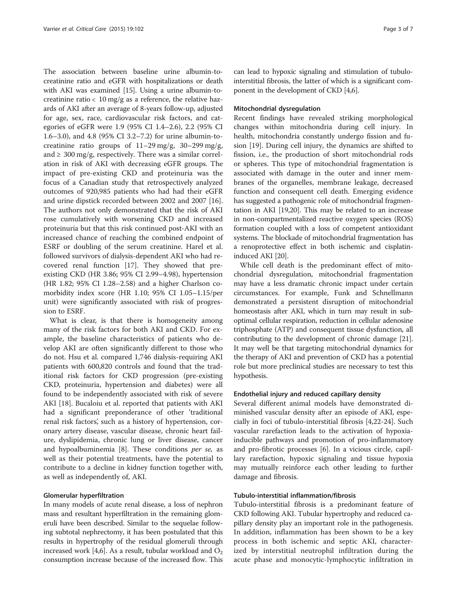The association between baseline urine albumin-tocreatinine ratio and eGFR with hospitalizations or death with AKI was examined [\[15](#page-5-0)]. Using a urine albumin-tocreatinine ratio < 10 mg/g as a reference, the relative hazards of AKI after an average of 8-years follow-up, adjusted for age, sex, race, cardiovascular risk factors, and categories of eGFR were 1.9 (95% CI 1.4–2.6), 2.2 (95% CI 1.6–3.0), and 4.8 (95% CI 3.2–7.2) for urine albumin-tocreatinine ratio groups of  $11-29$  mg/g,  $30-299$  mg/g, and  $\geq 300$  mg/g, respectively. There was a similar correlation in risk of AKI with decreasing eGFR groups. The impact of pre-existing CKD and proteinuria was the focus of a Canadian study that retrospectively analyzed outcomes of 920,985 patients who had had their eGFR and urine dipstick recorded between 2002 and 2007 [\[16](#page-5-0)]. The authors not only demonstrated that the risk of AKI rose cumulatively with worsening CKD and increased proteinuria but that this risk continued post-AKI with an increased chance of reaching the combined endpoint of ESRF or doubling of the serum creatinine. Harel et al. followed survivors of dialysis-dependent AKI who had recovered renal function [[17](#page-5-0)]. They showed that preexisting CKD (HR 3.86; 95% CI 2.99–4.98), hypertension (HR 1.82; 95% CI 1.28–2.58) and a higher Charlson comorbidity index score (HR 1.10; 95% CI 1.05–1.15/per unit) were significantly associated with risk of progression to ESRF.

What is clear, is that there is homogeneity among many of the risk factors for both AKI and CKD. For example, the baseline characteristics of patients who develop AKI are often significantly different to those who do not. Hsu et al. compared 1,746 dialysis-requiring AKI patients with 600,820 controls and found that the traditional risk factors for CKD progression (pre-existing CKD, proteinuria, hypertension and diabetes) were all found to be independently associated with risk of severe AKI [[18\]](#page-5-0). Bucaloiu et al. reported that patients with AKI had a significant preponderance of other 'traditional renal risk factors', such as a history of hypertension, coronary artery disease, vascular disease, chronic heart failure, dyslipidemia, chronic lung or liver disease, cancer and hypoalbuminemia [[8\]](#page-5-0). These conditions per se, as well as their potential treatments, have the potential to contribute to a decline in kidney function together with, as well as independently of, AKI.

# Glomerular hyperfiltration

In many models of acute renal disease, a loss of nephron mass and resultant hyperfiltration in the remaining glomeruli have been described. Similar to the sequelae following subtotal nephrectomy, it has been postulated that this results in hypertrophy of the residual glomeruli through increased work [\[4,6\]](#page-5-0). As a result, tubular workload and  $O_2$ consumption increase because of the increased flow. This can lead to hypoxic signaling and stimulation of tubulointerstitial fibrosis, the latter of which is a significant component in the development of CKD [[4,6](#page-5-0)].

#### Mitochondrial dysregulation

Recent findings have revealed striking morphological changes within mitochondria during cell injury. In health, mitochondria constantly undergo fission and fusion [\[19\]](#page-5-0). During cell injury, the dynamics are shifted to fission, i.e., the production of short mitochondrial rods or spheres. This type of mitochondrial fragmentation is associated with damage in the outer and inner membranes of the organelles, membrane leakage, decreased function and consequent cell death. Emerging evidence has suggested a pathogenic role of mitochondrial fragmentation in AKI [\[19,20](#page-5-0)]. This may be related to an increase in non-compartmentalized reactive oxygen species (ROS) formation coupled with a loss of competent antioxidant systems. The blockade of mitochondrial fragmentation has a renoprotective effect in both ischemic and cisplatininduced AKI [\[20](#page-5-0)].

While cell death is the predominant effect of mitochondrial dysregulation, mitochondrial fragmentation may have a less dramatic chronic impact under certain circumstances. For example, Funk and Schnellmann demonstrated a persistent disruption of mitochondrial homeostasis after AKI, which in turn may result in suboptimal cellular respiration, reduction in cellular adenosine triphosphate (ATP) and consequent tissue dysfunction, all contributing to the development of chronic damage [[21](#page-5-0)]. It may well be that targeting mitochondrial dynamics for the therapy of AKI and prevention of CKD has a potential role but more preclinical studies are necessary to test this hypothesis.

#### Endothelial injury and reduced capillary density

Several different animal models have demonstrated diminished vascular density after an episode of AKI, especially in foci of tubulo-interstitial fibrosis [[4,22-24](#page-5-0)]. Such vascular rarefaction leads to the activation of hypoxiainducible pathways and promotion of pro-inflammatory and pro-fibrotic processes [\[6](#page-5-0)]. In a vicious circle, capillary rarefaction, hypoxic signaling and tissue hypoxia may mutually reinforce each other leading to further damage and fibrosis.

# Tubulo-interstitial inflammation/fibrosis

Tubulo-interstitial fibrosis is a predominant feature of CKD following AKI. Tubular hypertrophy and reduced capillary density play an important role in the pathogenesis. In addition, inflammation has been shown to be a key process in both ischemic and septic AKI, characterized by interstitial neutrophil infiltration during the acute phase and monocytic-lymphocytic infiltration in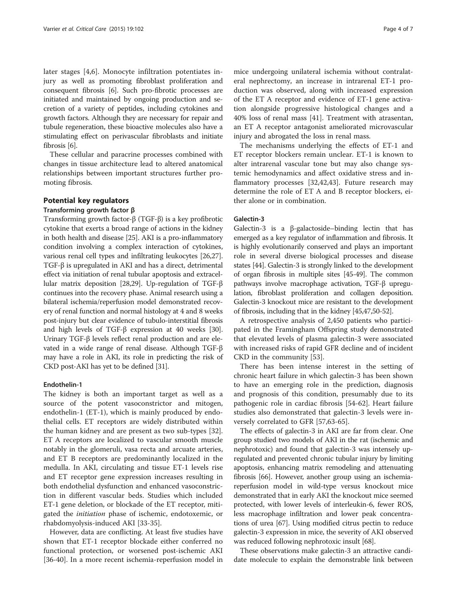later stages [[4,6](#page-5-0)]. Monocyte infiltration potentiates injury as well as promoting fibroblast proliferation and consequent fibrosis [\[6](#page-5-0)]. Such pro-fibrotic processes are initiated and maintained by ongoing production and secretion of a variety of peptides, including cytokines and growth factors. Although they are necessary for repair and tubule regeneration, these bioactive molecules also have a stimulating effect on perivascular fibroblasts and initiate fibrosis [\[6\]](#page-5-0).

These cellular and paracrine processes combined with changes in tissue architecture lead to altered anatomical relationships between important structures further promoting fibrosis.

### Potential key regulators

#### Transforming growth factor β

Transforming growth factor-β (TGF-β) is a key profibrotic cytokine that exerts a broad range of actions in the kidney in both health and disease [[25](#page-5-0)]. AKI is a pro-inflammatory condition involving a complex interaction of cytokines, various renal cell types and infiltrating leukocytes [\[26,27](#page-5-0)]. TGF-β is upregulated in AKI and has a direct, detrimental effect via initiation of renal tubular apoptosis and extracellular matrix deposition [\[28,29\]](#page-5-0). Up-regulation of TGF-β continues into the recovery phase. Animal research using a bilateral ischemia/reperfusion model demonstrated recovery of renal function and normal histology at 4 and 8 weeks post-injury but clear evidence of tubulo-interstitial fibrosis and high levels of TGF-β expression at 40 weeks [[30](#page-5-0)]. Urinary TGF-β levels reflect renal production and are elevated in a wide range of renal disease. Although TGF-β may have a role in AKI, its role in predicting the risk of CKD post-AKI has yet to be defined [[31](#page-5-0)].

#### Endothelin-1

The kidney is both an important target as well as a source of the potent vasoconstrictor and mitogen, endothelin-1 (ET-1), which is mainly produced by endothelial cells. ET receptors are widely distributed within the human kidney and are present as two sub-types [\[32](#page-5-0)]. ET A receptors are localized to vascular smooth muscle notably in the glomeruli, vasa recta and arcuate arteries, and ET B receptors are predominantly localized in the medulla. In AKI, circulating and tissue ET-1 levels rise and ET receptor gene expression increases resulting in both endothelial dysfunction and enhanced vasoconstriction in different vascular beds. Studies which included ET-1 gene deletion, or blockade of the ET receptor, mitigated the initiation phase of ischemic, endotoxemic, or rhabdomyolysis-induced AKI [\[33](#page-5-0)-[35\]](#page-5-0).

However, data are conflicting. At least five studies have shown that ET-1 receptor blockade either conferred no functional protection, or worsened post-ischemic AKI [[36-40](#page-5-0)]. In a more recent ischemia-reperfusion model in

mice undergoing unilateral ischemia without contralateral nephrectomy, an increase in intrarenal ET-1 production was observed, along with increased expression of the ET A receptor and evidence of ET-1 gene activation alongside progressive histological changes and a 40% loss of renal mass [[41\]](#page-5-0). Treatment with atrasentan, an ET A receptor antagonist ameliorated microvascular injury and abrogated the loss in renal mass.

The mechanisms underlying the effects of ET-1 and ET receptor blockers remain unclear. ET-1 is known to alter intrarenal vascular tone but may also change systemic hemodynamics and affect oxidative stress and inflammatory processes [[32](#page-5-0),[42](#page-5-0),[43](#page-5-0)]. Future research may determine the role of ET A and B receptor blockers, either alone or in combination.

### Galectin-3

Galectin-3 is a β-galactoside–binding lectin that has emerged as a key regulator of inflammation and fibrosis. It is highly evolutionarily conserved and plays an important role in several diverse biological processes and disease states [\[44\]](#page-5-0). Galectin-3 is strongly linked to the development of organ fibrosis in multiple sites [[45](#page-5-0)-[49](#page-5-0)]. The common pathways involve macrophage activation, TGF-β upregulation, fibroblast proliferation and collagen deposition. Galectin-3 knockout mice are resistant to the development of fibrosis, including that in the kidney [\[45,47,50](#page-5-0)[-52\]](#page-6-0).

A retrospective analysis of 2,450 patients who participated in the Framingham Offspring study demonstrated that elevated levels of plasma galectin-3 were associated with increased risks of rapid GFR decline and of incident CKD in the community [[53\]](#page-6-0).

There has been intense interest in the setting of chronic heart failure in which galectin-3 has been shown to have an emerging role in the prediction, diagnosis and prognosis of this condition, presumably due to its pathogenic role in cardiac fibrosis [[54](#page-6-0)-[62\]](#page-6-0). Heart failure studies also demonstrated that galectin-3 levels were inversely correlated to GFR [\[57,63-65](#page-6-0)].

The effects of galectin-3 in AKI are far from clear. One group studied two models of AKI in the rat (ischemic and nephrotoxic) and found that galectin-3 was intensely upregulated and prevented chronic tubular injury by limiting apoptosis, enhancing matrix remodeling and attenuating fibrosis [\[66\]](#page-6-0). However, another group using an ischemiareperfusion model in wild-type versus knockout mice demonstrated that in early AKI the knockout mice seemed protected, with lower levels of interleukin-6, fewer ROS, less macrophage infiltration and lower peak concentrations of urea [[67](#page-6-0)]. Using modified citrus pectin to reduce galectin-3 expression in mice, the severity of AKI observed was reduced following nephrotoxic insult [\[68](#page-6-0)].

These observations make galectin-3 an attractive candidate molecule to explain the demonstrable link between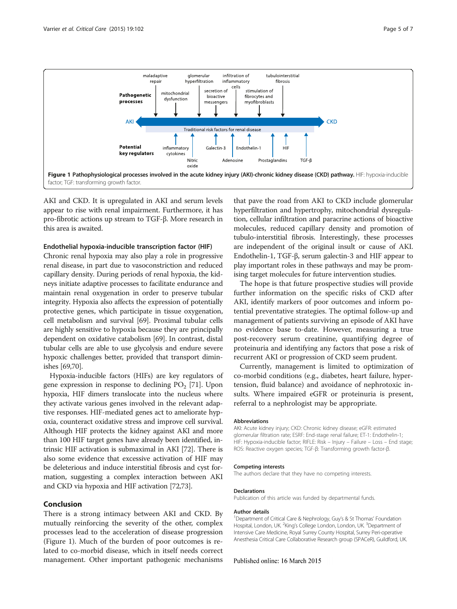



AKI and CKD. It is upregulated in AKI and serum levels appear to rise with renal impairment. Furthermore, it has pro-fibrotic actions up stream to TGF-β. More research in this area is awaited.

## Endothelial hypoxia-inducible transcription factor (HIF)

Chronic renal hypoxia may also play a role in progressive renal disease, in part due to vasoconstriction and reduced capillary density. During periods of renal hypoxia, the kidneys initiate adaptive processes to facilitate endurance and maintain renal oxygenation in order to preserve tubular integrity. Hypoxia also affects the expression of potentially protective genes, which participate in tissue oxygenation, cell metabolism and survival [\[69](#page-6-0)]. Proximal tubular cells are highly sensitive to hypoxia because they are principally dependent on oxidative catabolism [[69](#page-6-0)]. In contrast, distal tubular cells are able to use glycolysis and endure severe hypoxic challenges better, provided that transport diminishes [[69,70](#page-6-0)].

Hypoxia-inducible factors (HIFs) are key regulators of gene expression in response to declining  $PO<sub>2</sub>$  [[71](#page-6-0)]. Upon hypoxia, HIF dimers translocate into the nucleus where they activate various genes involved in the relevant adaptive responses. HIF-mediated genes act to ameliorate hypoxia, counteract oxidative stress and improve cell survival. Although HIF protects the kidney against AKI and more than 100 HIF target genes have already been identified, intrinsic HIF activation is submaximal in AKI [[72](#page-6-0)]. There is also some evidence that excessive activation of HIF may be deleterious and induce interstitial fibrosis and cyst formation, suggesting a complex interaction between AKI and CKD via hypoxia and HIF activation [\[72,73\]](#page-6-0).

# Conclusion

There is a strong intimacy between AKI and CKD. By mutually reinforcing the severity of the other, complex processes lead to the acceleration of disease progression (Figure 1). Much of the burden of poor outcomes is related to co-morbid disease, which in itself needs correct management. Other important pathogenic mechanisms

that pave the road from AKI to CKD include glomerular hyperfiltration and hypertrophy, mitochondrial dysregulation, cellular infiltration and paracrine actions of bioactive molecules, reduced capillary density and promotion of tubulo-interstitial fibrosis. Interestingly, these processes are independent of the original insult or cause of AKI. Endothelin-1, TGF-β, serum galectin-3 and HIF appear to play important roles in these pathways and may be promising target molecules for future intervention studies.

The hope is that future prospective studies will provide further information on the specific risks of CKD after AKI, identify markers of poor outcomes and inform potential preventative strategies. The optimal follow-up and management of patients surviving an episode of AKI have no evidence base to-date. However, measuring a true post-recovery serum creatinine, quantifying degree of proteinuria and identifying any factors that pose a risk of recurrent AKI or progression of CKD seem prudent.

Currently, management is limited to optimization of co-morbid conditions (e.g., diabetes, heart failure, hypertension, fluid balance) and avoidance of nephrotoxic insults. Where impaired eGFR or proteinuria is present, referral to a nephrologist may be appropriate.

#### Abbreviations

AKI: Acute kidney injury; CKD: Chronic kidney disease; eGFR: estimated glomerular filtration rate; ESRF: End-stage renal failure; ET-1: Endothelin-1; HIF: Hypoxia-inducible factor; RIFLE: Risk – Injury – Failure – Loss – End stage; ROS: Reactive oxygen species; TGF-β: Transforming growth factor-β.

#### Competing interests

The authors declare that they have no competing interests.

#### Declarations

Publication of this article was funded by departmental funds.

#### Author details

<sup>1</sup> Department of Critical Care & Nephrology, Guy's & St Thomas' Foundation Hospital, London, UK. <sup>2</sup>King's College London, London, UK. <sup>3</sup>Department of Intensive Care Medicine, Royal Surrey County Hospital, Surrey Peri-operative Anesthesia Critical Care Collaborative Research group (SPACeR), Guildford, UK.

Published online: 16 March 2015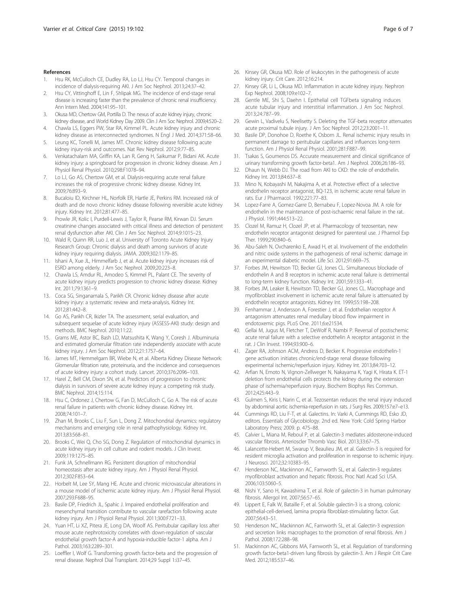#### <span id="page-5-0"></span>References

- Hsu RK, McCulloch CE, Dudley RA, Lo LJ, Hsu CY, Temporal changes in incidence of dialysis-requiring AKI. J Am Soc Nephrol. 2013;24:37–42.
- Hsu CY, Vittinghoff E, Lin F, Shlipak MG. The incidence of end-stage renal disease is increasing faster than the prevalence of chronic renal insufficiency. Ann Intern Med. 2004;141:95–101.
- 3. Okusa MD, Chertow GM, Portilla D. The nexus of acute kidney injury, chronic kidney disease, and World Kidney Day 2009. Clin J Am Soc Nephrol. 2009;4:520–2.
- 4. Chawla LS, Eggers PW, Star RA, Kimmel PL. Acute kidney injury and chronic kidney disease as interconnected syndromes. N Engl J Med. 2014;371:58–66.
- 5. Leung KC, Tonelli M, James MT. Chronic kidney disease following acute kidney injury-risk and outcomes. Nat Rev Nephrol. 2012;9:77–85.
- 6. Venkatachalam MA, Griffin KA, Lan R, Geng H, Saikumar P, Bidani AK. Acute kidney injury: a springboard for progression in chronic kidney disease. Am J Physiol Renal Physiol. 2010;298:F1078–94.
- 7. Lo LJ, Go AS, Chertow GM, et al. Dialysis-requiring acute renal failure increases the risk of progressive chronic kidney disease. Kidney Int. 2009;76:893–9.
- 8. Bucaloiu ID, Kirchner HL, Norfolk ER, Hartle JE, Perkins RM. Increased risk of death and de novo chronic kidney disease following reversible acute kidney injury. Kidney Int. 2012;81:477–85.
- 9. Prowle JR, Kolic I, Purdell-Lewis J, Taylor R, Pearse RM, Kirwan DJ. Serum creatinine changes associated with critical illness and detection of persistent renal dysfunction after AKI. Clin J Am Soc Nephrol. 2014;9:1015–23.
- 10. Wald R, Quinn RR, Luo J, et al. University of Toronto Acute Kidney Injury Research Group: Chronic dialysis and death among survivors of acute kidney injury requiring dialysis. JAMA. 2009;302:1179–85.
- 11. Ishani A, Xue JL, Himmelfarb J, et al. Acute kidney injury increases risk of ESRD among elderly. J Am Soc Nephrol. 2009;20:223–8.
- 12. Chawla LS, Amdur RL, Amodeo S, Kimmel PL, Palant CE. The severity of acute kidney injury predicts progression to chronic kidney disease. Kidney Int. 2011;79:1361–9.
- 13. Coca SG, Singanamala S, Parikh CR. Chronic kidney disease after acute kidney injury: a systematic review and meta-analysis. Kidney Int. 2012;81:442–8.
- 14. Go AS, Parikh CR, Ikizler TA. The assessment, serial evaluation, and subsequent sequelae of acute kidney injury (ASSESS-AKI) study: design and methods. BMC Nephrol. 2010;11:22.
- 15. Grams ME, Astor BC, Bash LD, Matsushita K, Wang Y, Coresh J. Albuminuria and estimated glomerular filtration rate independently associate with acute kidney injury. J Am Soc Nephrol. 2012;21:1757–64.
- 16. James MT, Hemmelgarn BR, Wiebe N, et al. Alberta Kidney Disease Network: Glomerular filtration rate, proteinuria, and the incidence and consequences of acute kidney injury: a cohort study. Lancet. 2010;376:2096–103.
- 17. Harel Z, Bell CM, Dixon SN, et al. Predictors of progression to chronic dialysis in survivors of severe acute kidney injury: a competing risk study. BMC Nephrol. 2014;15:114.
- 18. Hsu C, Ordonez J, Chertow G, Fan D, McCulloch C, Go A. The risk of acute renal failure in patients with chronic kidney disease. Kidney Int. 2008;74:101–7.
- 19. Zhan M, Brooks C, Liu F, Sun L, Dong Z. Mitochondrial dynamics: regulatory mechanisms and emerging role in renal pathophysiology. Kidney Int. 2013;83:568–81.
- 20. Brooks C, Wei Q, Cho SG, Dong Z. Regulation of mitochondrial dynamics in acute kidney injury in cell culture and rodent models. J Clin Invest. 2009;119:1275–85.
- 21. Funk JA, Schnellmann RG. Persistent disruption of mitochondrial homeostasis after acute kidney injury. Am J Physiol Renal Physiol. 2012;302:F853–64.
- 22. Horbelt M, Lee SY, Mang HE. Acute and chronic microvascular alterations in a mouse model of ischemic acute kidney injury. Am J Physiol Renal Physiol. 2007;293:F688–95.
- 23. Basile DP, Friedrich JL, Spahic J. Impaired endothelial proliferation and mesenchymal transition contribute to vascular rarefaction following acute kidney injury. Am J Physiol Renal Physiol. 2011;300:F721–33.
- 24. Yuan HT, Li XZ, Pitera JE, Long DA, Woolf AS. Peritubular capillary loss after mouse acute nephrotoxicity correlates with down-regulation of vascular endothelial growth factor-A and hypoxia-inducible factor-1 alpha. Am J Pathol. 2003;163:2289–301.
- 25. Loeffler I, Wolf G. Transforming growth factor-beta and the progression of renal disease. Nephrol Dial Transplant. 2014;29 Suppl 1:i37–45.
- 26. Kinsey GR, Okusa MD. Role of leukocytes in the pathogenesis of acute kidney injury. Crit Care. 2012;16:214.
- 27. Kinsey GR, Li L, Okusa MD. Inflammation in acute kidney injury. Nephron Exp Nephrol. 2008;109:e102–7.
- 28. Gentle ME, Shi S, Daehn I. Epithelial cell TGFbeta signaling induces acute tubular injury and interstitial inflammation. J Am Soc Nephrol. 2013;24:787–99.
- 29. Gewin L, Vadivelu S, Neelisetty S. Deleting the TGF-beta receptor attenuates acute proximal tubule injury. J Am Soc Nephrol. 2012;23:2001–11.
- 30. Basile DP, Donohoe D, Roethe K, Osborn JL. Renal ischemic injury results in permanent damage to peritubular capillaries and influences long-term function. Am J Physiol Renal Physiol. 2001;281:F887–99.
- 31. Tsakas S, Goumenos DS. Accurate measurement and clinical significance of urinary transforming growth factor-beta1. Am J Nephrol. 2006;26:186–93.
- 32. Dhaun N, Webb DJ. The road from AKI to CKD: the role of endothelin. Kidney Int. 2013;84:637–8.
- 33. Mino N, Kobayashi M, Nakajima A, et al. Protective effect of a selective endothelin receptor antagonist, BQ-123, in ischemic acute renal failure in rats. Eur J Pharmacol. 1992;221:77–83.
- 34. Lopez-Farre A, Gomez-Garre D, Bernabeu F, Lopez-Novoa JM. A role for endothelin in the maintenance of post-ischaemic renal failure in the rat. J Physiol. 1991;444:513–22.
- 35. Clozel M, Ramuz H, Clozel JP, et al. Pharmacology of tezosentan, new endothelin receptor antagonist designed for parenteral use. J Pharmol Exp Ther. 1999;290:840–6.
- 36. Abu-Saleh N, Ovcharenko E, Awad H, et al. Involvement of the endothelin and nitric oxide systems in the pathogenesis of renal ischemic damage in an experimental diabetic model. Life Sci. 2012;91:669–75.
- 37. Forbes JM, Hewitson TD, Becker GJ, Jones CL. Simultaneous blockade of endothelin A and B receptors in ischemic acute renal failure is detrimental to long-term kidney function. Kidney Int. 2001;59:1333–41.
- 38. Forbes JM, Leaker B, Hewitson TD, Becker GJ, Jones CL. Macrophage and myofibroblast involvement in ischemic acute renal failure is attenuated by endothelin receptor antagonists. Kidney Int. 1999;55:198–208.
- 39. Fenhammar J, Andersson A, Forestier J, et al. Endothelian receptor A antagonism attenuates renal medullary blood flow impairment in endotoxemic pigs. PLoS One. 2011;6:e21534.
- 40. Gellai M, Jugus M, Fletcher T, DeWolf R, Nambi P. Reversal of postischemic acute renal failure with a selective endothelin A receptor antagonist in the rat. J Clin Invest. 1994;93:900–6.
- 41. Zager RA, Johnson ACM, Andress D, Becker K. Progressive endothelin-1 gene activation initiates chronic/end-stage renal disease following experimental ischemic/reperfusion injury. Kidney Int. 2013;84:703–12.
- 42. Arfian N, Emoto N, Vignon-Zellweger N, Nakayama K, Yagi K, Hirata K. ET-1 deletion from endothelial cells protects the kidney during the extension phase of ischemia/reperfusion injury. Biochem Biophys Res Commun. 2012;425:443–9.
- 43. Gulmen S, Kiris I, Narin C, et al. Tezosentan reduces the renal injury induced by abdominal aortic ischemia-reperfusion in rats. J Surg Res. 2009;157:e7–e13.
- 44. Cummings RD, Liu F-T, et al. Galectins. In: Varki A, Cummings RD, Esko JD, editors. Essentials of Glycobiology. 2nd ed. New York: Cold Spring Harbor Laboratory Press; 2009. p. 475–88.
- 45. Calvier L, Miana M, Reboul P, et al. Galectin-3 mediates aldosterone-induced vascular fibrosis. Arterioscler Thromb Vasc Biol. 2013;33:67–75.
- 46. Lalancette-Hebert M, Swarup V, Beaulieu JM, et al. Galectin-3 is required for resident microglia activation and proliferation in response to ischemic injury. J Neurosci. 2012;32:10383–95.
- 47. Henderson NC, Mackinnon AC, Farnworth SL, et al. Galectin-3 regulates myofibroblast activation and hepatic fibrosis. Proc Natl Acad Sci USA. 2006;103:5060–5.
- 48. Nishi Y, Sano H, Kawashima T, et al. Role of galectin-3 in human pulmonary fibrosis. Allergol Int. 2007;56:57–65.
- 49. Lippert E, Falk W, Bataille F, et al. Soluble galectin-3 is a strong, colonic epithelial-cell-derived, lamina propria fibroblast-stimulating factor. Gut. 2007;56:43–51.
- 50. Henderson NC, Mackinnon AC, Farnworth SL, et al. Galectin-3 expression and secretion links macrophages to the promotion of renal fibrosis. Am J Pathol. 2008;172:288–98.
- 51. Mackinnon AC, Gibbons MA, Farnworth SL, et al. Regulation of transforming growth factor-beta1-driven lung fibrosis by galectin-3. Am J Respir Crit Care Med. 2012;185:537–46.